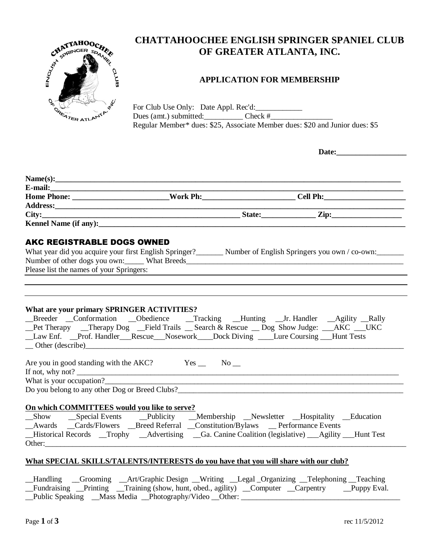

# **CHATTAHOOCHEE ENGLISH SPRINGER SPANIEL CLUB OF GREATER ATLANTA, INC.**

# **APPLICATION FOR MEMBERSHIP**

For Club Use Only: Date Appl. Rec'd: Dues (amt.) submitted: Check # Regular Member\* dues: \$25, Associate Member dues: \$20 and Junior dues: \$5

| Name(s):                                                                                                                                                                                                                                                                                                                                                                                                                                                                                                                             |  |  |  |  |
|--------------------------------------------------------------------------------------------------------------------------------------------------------------------------------------------------------------------------------------------------------------------------------------------------------------------------------------------------------------------------------------------------------------------------------------------------------------------------------------------------------------------------------------|--|--|--|--|
| E-mail: 2008. The contract of the contract of the contract of the contract of the contract of the contract of the contract of the contract of the contract of the contract of the contract of the contract of the contract of                                                                                                                                                                                                                                                                                                        |  |  |  |  |
|                                                                                                                                                                                                                                                                                                                                                                                                                                                                                                                                      |  |  |  |  |
|                                                                                                                                                                                                                                                                                                                                                                                                                                                                                                                                      |  |  |  |  |
|                                                                                                                                                                                                                                                                                                                                                                                                                                                                                                                                      |  |  |  |  |
| <b>Kennel Name (if any):</b> The same of a set of a set of a set of a set of a set of a set of a set of a set of a set of a set of a set of a set of a set of a set of a set of a set of a set of a set of a set of a set of a set                                                                                                                                                                                                                                                                                                   |  |  |  |  |
| <b>AKC REGISTRABLE DOGS OWNED</b>                                                                                                                                                                                                                                                                                                                                                                                                                                                                                                    |  |  |  |  |
| What year did you acquire your first English Springer?_________ Number of English Springers you own / co-own:_______                                                                                                                                                                                                                                                                                                                                                                                                                 |  |  |  |  |
| Number of other dogs you own: What Breeds Manuscript Communication of other dogs you own:                                                                                                                                                                                                                                                                                                                                                                                                                                            |  |  |  |  |
| Please list the names of your Springers:                                                                                                                                                                                                                                                                                                                                                                                                                                                                                             |  |  |  |  |
|                                                                                                                                                                                                                                                                                                                                                                                                                                                                                                                                      |  |  |  |  |
|                                                                                                                                                                                                                                                                                                                                                                                                                                                                                                                                      |  |  |  |  |
|                                                                                                                                                                                                                                                                                                                                                                                                                                                                                                                                      |  |  |  |  |
|                                                                                                                                                                                                                                                                                                                                                                                                                                                                                                                                      |  |  |  |  |
|                                                                                                                                                                                                                                                                                                                                                                                                                                                                                                                                      |  |  |  |  |
|                                                                                                                                                                                                                                                                                                                                                                                                                                                                                                                                      |  |  |  |  |
| What are your primary SPRINGER ACTIVITIES?<br>_Breeder _Conformation _Obedience _Tracking _Hunting _Jr. Handler _Agility _Rally<br>_Pet Therapy __Therapy Dog __Field Trails __Search & Rescue __Dog Show Judge: __AKC __UKC<br>Law Enf. Prof. Handler Rescue Nosework Dock Diving Lure Coursing Hunt Tests<br>$\qquad$ Other (describe)<br>Are you in good standing with the AKC? $\qquad \qquad$ Yes $\qquad \qquad$ No $\qquad$<br>If not, why not?<br>What is your occupation?<br>Do you belong to any other Dog or Breed Clubs? |  |  |  |  |
|                                                                                                                                                                                                                                                                                                                                                                                                                                                                                                                                      |  |  |  |  |
|                                                                                                                                                                                                                                                                                                                                                                                                                                                                                                                                      |  |  |  |  |
| On which COMMITTEES would you like to serve?<br>_Show __Special Events __Publicity __Membership __Newsletter __Hospitality __Education                                                                                                                                                                                                                                                                                                                                                                                               |  |  |  |  |
| _Awards __Cards/Flowers __Breed Referral __Constitution/Bylaws __Performance Events<br>_Historical Records _Trophy _Advertising _Ga. Canine Coalition (legislative) _Agility _Hunt Test                                                                                                                                                                                                                                                                                                                                              |  |  |  |  |

## **What SPECIAL SKILLS/TALENTS/INTERESTS do you have that you will share with our club?**

\_\_Handling \_\_Grooming \_\_Art/Graphic Design \_\_Writing \_\_Legal \_Organizing \_\_Telephoning \_\_Teaching \_\_Fundraising \_\_Printing \_\_Training (show, hunt, obed., agility) \_\_Computer \_\_Carpentry \_\_Puppy Eval. \_\_Public Speaking \_\_Mass Media \_\_Photography/Video \_\_Other: \_\_\_\_\_\_\_\_\_\_\_\_\_\_\_\_\_\_\_\_\_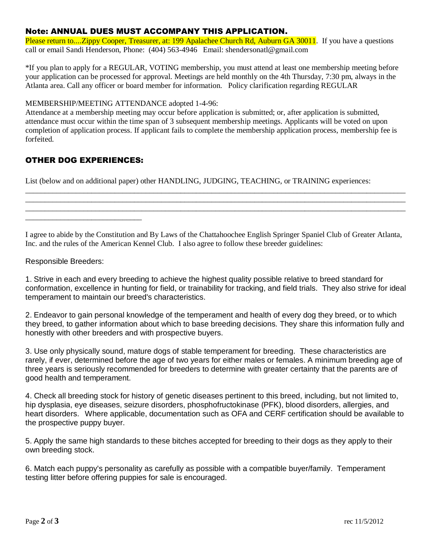## Note: ANNUAL DUES MUST ACCOMPANY THIS APPLICATION.

Please return to....Zippy Cooper, Treasurer, at: 199 Apalachee Church Rd, Auburn GA 30011. If you have a questions call or email Sandi Henderson, Phone: (404) 563-4946 Email: shendersonatl@gmail.com

\*If you plan to apply for a REGULAR, VOTING membership, you must attend at least one membership meeting before your application can be processed for approval. Meetings are held monthly on the 4th Thursday, 7:30 pm, always in the Atlanta area. Call any officer or board member for information. Policy clarification regarding REGULAR

## MEMBERSHIP/MEETING ATTENDANCE adopted 1-4-96:

Attendance at a membership meeting may occur before application is submitted; or, after application is submitted, attendance must occur within the time span of 3 subsequent membership meetings. Applicants will be voted on upon completion of application process. If applicant fails to complete the membership application process, membership fee is forfeited.

## OTHER DOG EXPERIENCES:

\_\_\_\_\_\_\_\_\_\_\_\_\_\_\_\_\_\_\_\_\_\_\_\_\_\_\_\_\_\_

List (below and on additional paper) other HANDLING, JUDGING, TEACHING, or TRAINING experiences:

I agree to abide by the Constitution and By Laws of the Chattahoochee English Springer Spaniel Club of Greater Atlanta, Inc. and the rules of the American Kennel Club. I also agree to follow these breeder guidelines:

\_\_\_\_\_\_\_\_\_\_\_\_\_\_\_\_\_\_\_\_\_\_\_\_\_\_\_\_\_\_\_\_\_\_\_\_\_\_\_\_\_\_\_\_\_\_\_\_\_\_\_\_\_\_\_\_\_\_\_\_\_\_\_\_\_\_\_\_\_\_\_\_\_\_\_\_\_\_\_\_\_\_\_\_\_\_\_\_\_\_\_\_\_\_\_\_\_\_ \_\_\_\_\_\_\_\_\_\_\_\_\_\_\_\_\_\_\_\_\_\_\_\_\_\_\_\_\_\_\_\_\_\_\_\_\_\_\_\_\_\_\_\_\_\_\_\_\_\_\_\_\_\_\_\_\_\_\_\_\_\_\_\_\_\_\_\_\_\_\_\_\_\_\_\_\_\_\_\_\_\_\_\_\_\_\_\_\_\_\_\_\_\_\_\_\_\_ \_\_\_\_\_\_\_\_\_\_\_\_\_\_\_\_\_\_\_\_\_\_\_\_\_\_\_\_\_\_\_\_\_\_\_\_\_\_\_\_\_\_\_\_\_\_\_\_\_\_\_\_\_\_\_\_\_\_\_\_\_\_\_\_\_\_\_\_\_\_\_\_\_\_\_\_\_\_\_\_\_\_\_\_\_\_\_\_\_\_\_\_\_\_\_\_\_\_

## Responsible Breeders:

1. Strive in each and every breeding to achieve the highest quality possible relative to breed standard for conformation, excellence in hunting for field, or trainability for tracking, and field trials. They also strive for ideal temperament to maintain our breed's characteristics.

2. Endeavor to gain personal knowledge of the temperament and health of every dog they breed, or to which they breed, to gather information about which to base breeding decisions. They share this information fully and honestly with other breeders and with prospective buyers.

3. Use only physically sound, mature dogs of stable temperament for breeding. These characteristics are rarely, if ever, determined before the age of two years for either males or females. A minimum breeding age of three years is seriously recommended for breeders to determine with greater certainty that the parents are of good health and temperament.

4. Check all breeding stock for history of genetic diseases pertinent to this breed, including, but not limited to, hip dysplasia, eye diseases, seizure disorders, phosphofructokinase (PFK), blood disorders, allergies, and heart disorders. Where applicable, documentation such as OFA and CERF certification should be available to the prospective puppy buyer.

5. Apply the same high standards to these bitches accepted for breeding to their dogs as they apply to their own breeding stock.

6. Match each puppy's personality as carefully as possible with a compatible buyer/family. Temperament testing litter before offering puppies for sale is encouraged.